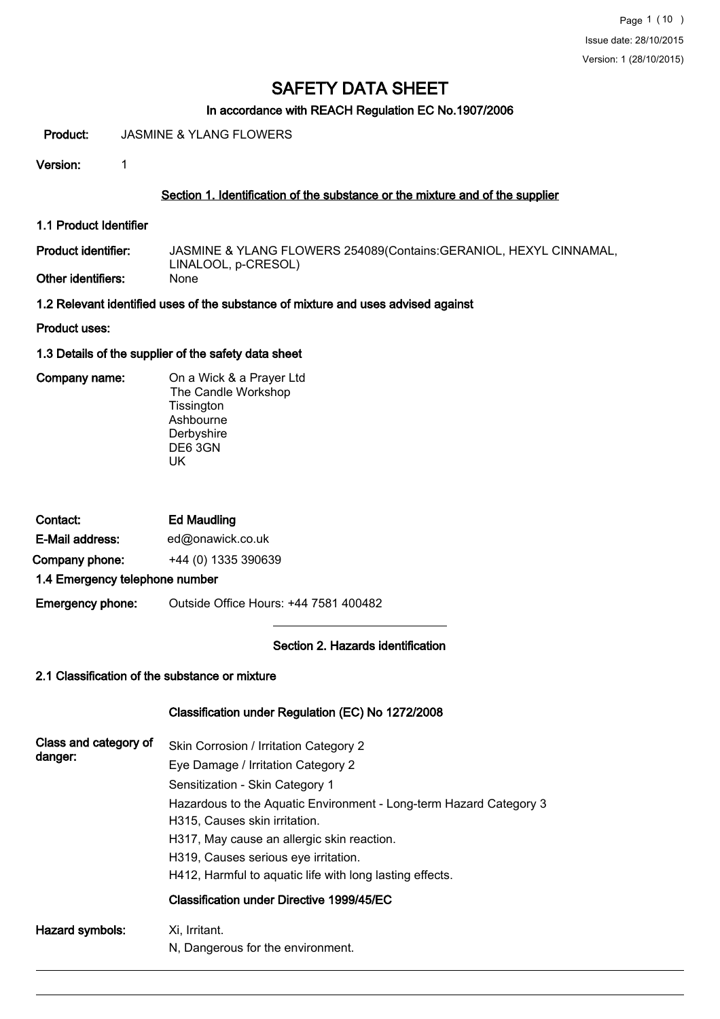#### In accordance with REACH Regulation EC No.1907/2006

Product: JASMINE & YLANG FLOWERS

Version: 1

#### Section 1. Identification of the substance or the mixture and of the supplier

1.1 Product Identifier

Product identifier:

Other identifiers:

JASMINE & YLANG FLOWERS 254089(Contains:GERANIOL, HEXYL CINNAMAL, LINALOOL, p-CRESOL)

1.2 Relevant identified uses of the substance of mixture and uses advised against

Product uses:

1.3 Details of the supplier of the safety data sheet

Company name: On a Wick & a Prayer Ltd The Candle Workshop **Tissington** Ashbourne Derbyshire DE6 3GN UK

| Contact:                       | <b>Ed Maudling</b>  |
|--------------------------------|---------------------|
| E-Mail address:                | ed@onawick.co.uk    |
| Company phone:                 | +44 (0) 1335 390639 |
| 4 4 Emargana: talanhana numbar |                     |

1.4 Emergency telephone number

Emergency phone: Outside Office Hours: +44 7581 400482

#### Section 2. Hazards identification

#### 2.1 Classification of the substance or mixture

## Classification under Regulation (EC) No 1272/2008

| Class and category of<br>danger: | Skin Corrosion / Irritation Category 2<br>Eye Damage / Irritation Category 2<br>Sensitization - Skin Category 1<br>Hazardous to the Aquatic Environment - Long-term Hazard Category 3<br>H315, Causes skin irritation.<br>H317, May cause an allergic skin reaction.<br>H319, Causes serious eye irritation.<br>H412, Harmful to aguatic life with long lasting effects.<br>Classification under Directive 1999/45/EC |
|----------------------------------|-----------------------------------------------------------------------------------------------------------------------------------------------------------------------------------------------------------------------------------------------------------------------------------------------------------------------------------------------------------------------------------------------------------------------|
| Hazard symbols:                  | Xi, Irritant.<br>N, Dangerous for the environment.                                                                                                                                                                                                                                                                                                                                                                    |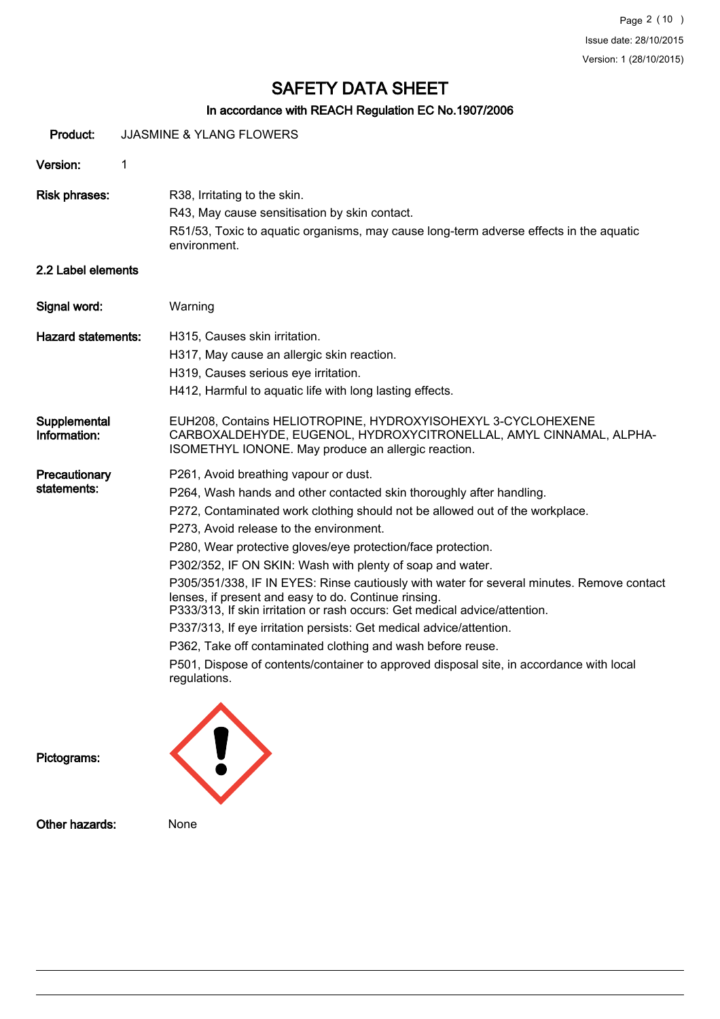## In accordance with REACH Regulation EC No.1907/2006

| Product:                     |   | <b>JJASMINE &amp; YLANG FLOWERS</b>                                                                                                                                                                                                                                                                                                                                                                                                                                                                                                                                                                                                                                                                                                                                                                                                                       |
|------------------------------|---|-----------------------------------------------------------------------------------------------------------------------------------------------------------------------------------------------------------------------------------------------------------------------------------------------------------------------------------------------------------------------------------------------------------------------------------------------------------------------------------------------------------------------------------------------------------------------------------------------------------------------------------------------------------------------------------------------------------------------------------------------------------------------------------------------------------------------------------------------------------|
| Version:                     | 1 |                                                                                                                                                                                                                                                                                                                                                                                                                                                                                                                                                                                                                                                                                                                                                                                                                                                           |
| <b>Risk phrases:</b>         |   | R38, Irritating to the skin.<br>R43, May cause sensitisation by skin contact.<br>R51/53, Toxic to aquatic organisms, may cause long-term adverse effects in the aquatic<br>environment.                                                                                                                                                                                                                                                                                                                                                                                                                                                                                                                                                                                                                                                                   |
| 2.2 Label elements           |   |                                                                                                                                                                                                                                                                                                                                                                                                                                                                                                                                                                                                                                                                                                                                                                                                                                                           |
| Signal word:                 |   | Warning                                                                                                                                                                                                                                                                                                                                                                                                                                                                                                                                                                                                                                                                                                                                                                                                                                                   |
| <b>Hazard statements:</b>    |   | H315, Causes skin irritation.<br>H317, May cause an allergic skin reaction.<br>H319, Causes serious eye irritation.<br>H412, Harmful to aquatic life with long lasting effects.                                                                                                                                                                                                                                                                                                                                                                                                                                                                                                                                                                                                                                                                           |
| Supplemental<br>Information: |   | EUH208, Contains HELIOTROPINE, HYDROXYISOHEXYL 3-CYCLOHEXENE<br>CARBOXALDEHYDE, EUGENOL, HYDROXYCITRONELLAL, AMYL CINNAMAL, ALPHA-<br>ISOMETHYL IONONE. May produce an allergic reaction.                                                                                                                                                                                                                                                                                                                                                                                                                                                                                                                                                                                                                                                                 |
| Precautionary<br>statements: |   | P261, Avoid breathing vapour or dust.<br>P264, Wash hands and other contacted skin thoroughly after handling.<br>P272, Contaminated work clothing should not be allowed out of the workplace.<br>P273, Avoid release to the environment.<br>P280, Wear protective gloves/eye protection/face protection.<br>P302/352, IF ON SKIN: Wash with plenty of soap and water.<br>P305/351/338, IF IN EYES: Rinse cautiously with water for several minutes. Remove contact<br>lenses, if present and easy to do. Continue rinsing.<br>P333/313, If skin irritation or rash occurs: Get medical advice/attention.<br>P337/313, If eye irritation persists: Get medical advice/attention.<br>P362, Take off contaminated clothing and wash before reuse.<br>P501, Dispose of contents/container to approved disposal site, in accordance with local<br>regulations. |
| Pictograms:                  |   |                                                                                                                                                                                                                                                                                                                                                                                                                                                                                                                                                                                                                                                                                                                                                                                                                                                           |

Other hazards: None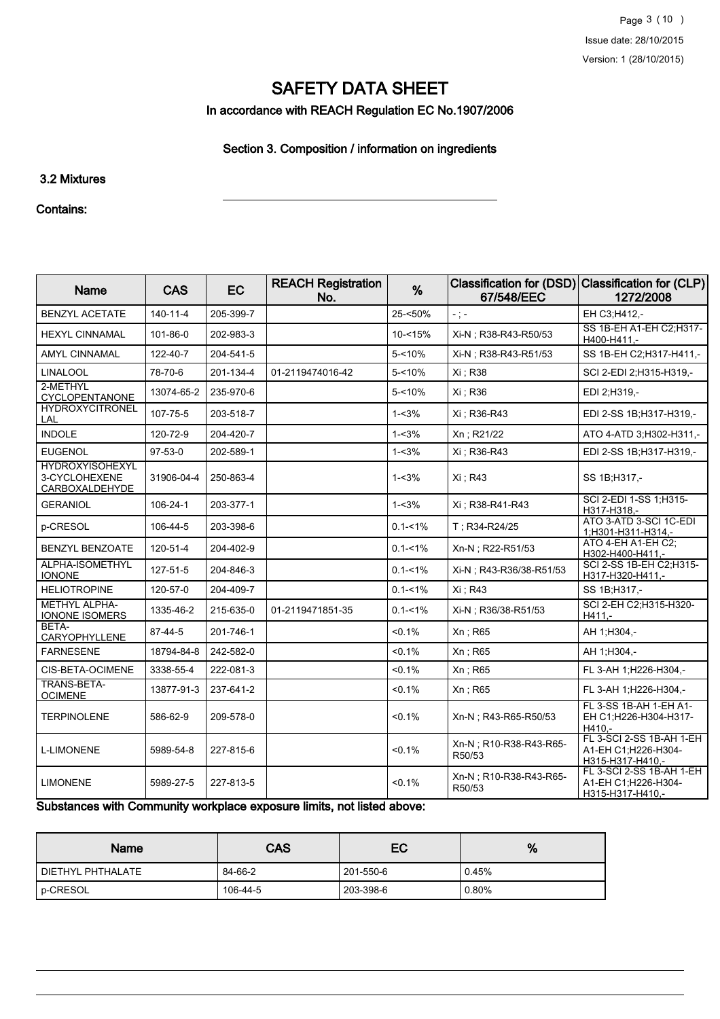In accordance with REACH Regulation EC No.1907/2006

## Section 3. Composition / information on ingredients

#### 3.2 Mixtures

#### Contains:

| <b>Name</b>                                               | <b>CAS</b>     | <b>EC</b> | <b>REACH Registration</b><br>No. | %           | <b>Classification for (DSD)</b><br>67/548/EEC | <b>Classification for (CLP)</b><br>1272/2008                        |
|-----------------------------------------------------------|----------------|-----------|----------------------------------|-------------|-----------------------------------------------|---------------------------------------------------------------------|
| <b>BENZYL ACETATE</b>                                     | $140 - 11 - 4$ | 205-399-7 |                                  | 25-<50%     | $\pm$ ) =                                     | EH C3;H412,-                                                        |
| <b>HEXYL CINNAMAL</b>                                     | 101-86-0       | 202-983-3 |                                  | $10 - 15%$  | Xi-N : R38-R43-R50/53                         | SS 1B-EH A1-EH C2;H317-<br>H400-H411,-                              |
| <b>AMYL CINNAMAL</b>                                      | 122-40-7       | 204-541-5 |                                  | 5-<10%      | Xi-N ; R38-R43-R51/53                         | SS 1B-EH C2; H317-H411,-                                            |
| <b>LINALOOL</b>                                           | 78-70-6        | 201-134-4 | 01-2119474016-42                 | 5-<10%      | Xi : R38                                      | SCI 2-EDI 2:H315-H319,-                                             |
| 2-METHYL<br><b>CYCLOPENTANONE</b>                         | 13074-65-2     | 235-970-6 |                                  | 5-<10%      | Xi : R36                                      | EDI 2;H319,-                                                        |
| <b>HYDROXYCITRONEL</b><br>LAL                             | 107-75-5       | 203-518-7 |                                  | $1 - 3%$    | Xi: R36-R43                                   | EDI 2-SS 1B:H317-H319,-                                             |
| <b>INDOLE</b>                                             | 120-72-9       | 204-420-7 |                                  | $1 - 3%$    | Xn; R21/22                                    | ATO 4-ATD 3; H302-H311,-                                            |
| <b>EUGENOL</b>                                            | $97-53-0$      | 202-589-1 |                                  | $1 - 3%$    | Xi ; R36-R43                                  | EDI 2-SS 1B;H317-H319,-                                             |
| <b>HYDROXYISOHEXYL</b><br>3-CYCLOHEXENE<br>CARBOXALDEHYDE | 31906-04-4     | 250-863-4 |                                  | $1 - 3%$    | Xi ; R43                                      | SS 1B:H317,-                                                        |
| <b>GERANIOL</b>                                           | 106-24-1       | 203-377-1 |                                  | $1 - 3%$    | Xi : R38-R41-R43                              | SCI 2-EDI 1-SS 1:H315-<br>H317-H318,-                               |
| p-CRESOL                                                  | 106-44-5       | 203-398-6 |                                  | $0.1 - 1\%$ | T: R34-R24/25                                 | ATO 3-ATD 3-SCI 1C-EDI<br>1:H301-H311-H314.-                        |
| <b>BENZYL BENZOATE</b>                                    | 120-51-4       | 204-402-9 |                                  | $0.1 - 1\%$ | Xn-N; R22-R51/53                              | ATO 4-EH A1-EH C2;<br>H302-H400-H411,-                              |
| <b>ALPHA-ISOMETHYL</b><br><b>IONONE</b>                   | $127 - 51 - 5$ | 204-846-3 |                                  | $0.1 - 1\%$ | Xi-N: R43-R36/38-R51/53                       | SCI 2-SS 1B-EH C2;H315-<br>H317-H320-H411,-                         |
| <b>HELIOTROPINE</b>                                       | 120-57-0       | 204-409-7 |                                  | $0.1 - 1\%$ | Xi: R43                                       | SS 1B:H317,-                                                        |
| <b>METHYL ALPHA-</b><br><b>IONONE ISOMERS</b>             | 1335-46-2      | 215-635-0 | 01-2119471851-35                 | $0.1 - 1\%$ | Xi-N ; R36/38-R51/53                          | SCI 2-EH C2; H315-H320-<br>H411.-                                   |
| BETA-<br>CARYOPHYLLENE                                    | 87-44-5        | 201-746-1 |                                  | $< 0.1\%$   | Xn ; R65                                      | AH 1:H304,-                                                         |
| <b>FARNESENE</b>                                          | 18794-84-8     | 242-582-0 |                                  | < 0.1%      | $Xn$ ; R65                                    | AH 1;H304,-                                                         |
| CIS-BETA-OCIMENE                                          | 3338-55-4      | 222-081-3 |                                  | $< 0.1\%$   | $Xn$ ; R65                                    | FL 3-AH 1;H226-H304,-                                               |
| TRANS-BETA-<br><b>OCIMENE</b>                             | 13877-91-3     | 237-641-2 |                                  | $< 0.1\%$   | Xn ; R65                                      | FL 3-AH 1;H226-H304,-                                               |
| <b>TERPINOLENE</b>                                        | 586-62-9       | 209-578-0 |                                  | < 0.1%      | Xn-N; R43-R65-R50/53                          | FL 3-SS 1B-AH 1-EH A1-<br>EH C1;H226-H304-H317-<br>$H410. -$        |
| <b>L-LIMONENE</b>                                         | 5989-54-8      | 227-815-6 |                                  | $< 0.1\%$   | Xn-N ; R10-R38-R43-R65-<br>R50/53             | FL 3-SCI 2-SS 1B-AH 1-EH<br>A1-EH C1;H226-H304-<br>H315-H317-H410,- |
| <b>LIMONENE</b>                                           | 5989-27-5      | 227-813-5 |                                  | $< 0.1\%$   | Xn-N; R10-R38-R43-R65-<br>R50/53              | FL 3-SCI 2-SS 1B-AH 1-EH<br>A1-EH C1:H226-H304-<br>H315-H317-H410,- |

Substances with Community workplace exposure limits, not listed above:

| <b>Name</b>       | <b>CAS</b> | EC        | %     |
|-------------------|------------|-----------|-------|
| DIETHYL PHTHALATE | 84-66-2    | 201-550-6 | 0.45% |
| ' p-CRESOL        | 106-44-5   | 203-398-6 | 0.80% |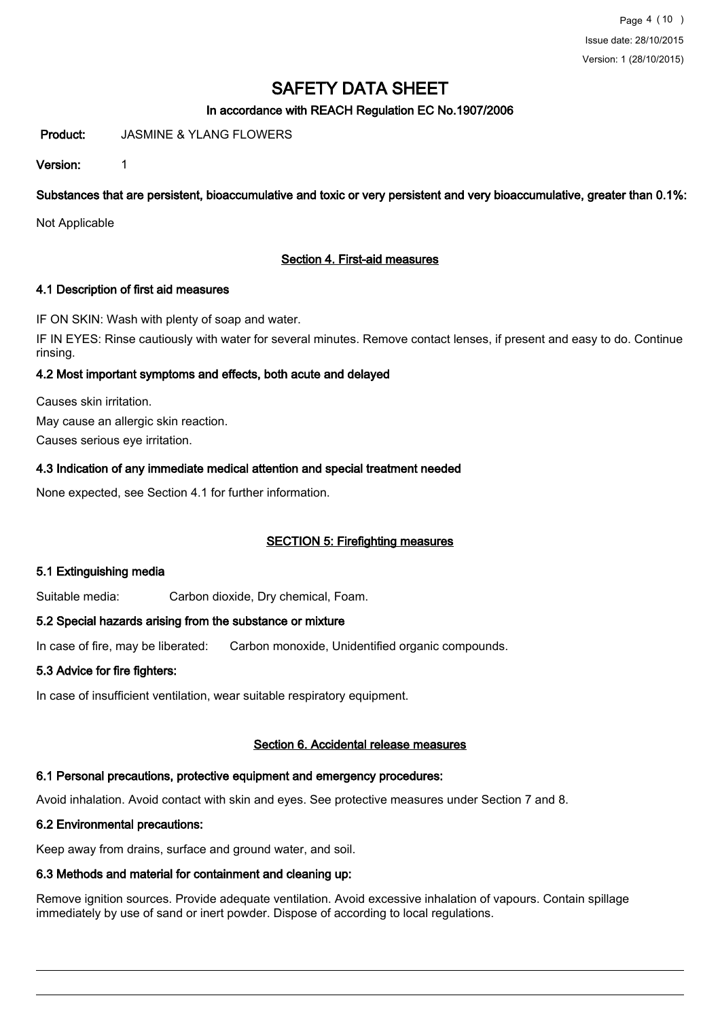#### In accordance with REACH Regulation EC No.1907/2006

Product: JASMINE & YLANG FLOWERS

Version: 1

Substances that are persistent, bioaccumulative and toxic or very persistent and very bioaccumulative, greater than 0.1%:

Not Applicable

#### Section 4. First-aid measures

#### 4.1 Description of first aid measures

IF ON SKIN: Wash with plenty of soap and water.

IF IN EYES: Rinse cautiously with water for several minutes. Remove contact lenses, if present and easy to do. Continue rinsing.

#### 4.2 Most important symptoms and effects, both acute and delayed

Causes skin irritation. May cause an allergic skin reaction. Causes serious eye irritation.

#### 4.3 Indication of any immediate medical attention and special treatment needed

None expected, see Section 4.1 for further information.

#### SECTION 5: Firefighting measures

#### 5.1 Extinguishing media

Suitable media: Carbon dioxide, Dry chemical, Foam.

#### 5.2 Special hazards arising from the substance or mixture

In case of fire, may be liberated: Carbon monoxide, Unidentified organic compounds.

#### 5.3 Advice for fire fighters:

In case of insufficient ventilation, wear suitable respiratory equipment.

#### Section 6. Accidental release measures

### 6.1 Personal precautions, protective equipment and emergency procedures:

Avoid inhalation. Avoid contact with skin and eyes. See protective measures under Section 7 and 8.

### 6.2 Environmental precautions:

Keep away from drains, surface and ground water, and soil.

## 6.3 Methods and material for containment and cleaning up:

Remove ignition sources. Provide adequate ventilation. Avoid excessive inhalation of vapours. Contain spillage immediately by use of sand or inert powder. Dispose of according to local regulations.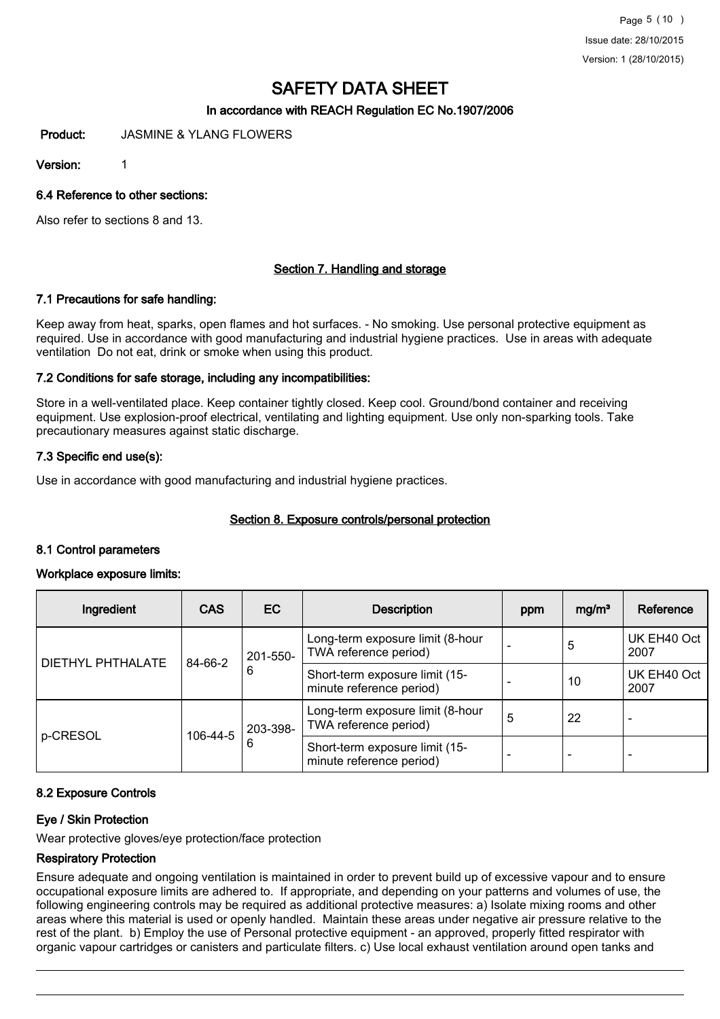#### In accordance with REACH Regulation EC No.1907/2006

Product: JASMINE & YLANG FLOWERS

Version: 1

#### 6.4 Reference to other sections:

Also refer to sections 8 and 13.

#### Section 7. Handling and storage

#### 7.1 Precautions for safe handling:

Keep away from heat, sparks, open flames and hot surfaces. - No smoking. Use personal protective equipment as required. Use in accordance with good manufacturing and industrial hygiene practices. Use in areas with adequate ventilation Do not eat, drink or smoke when using this product.

#### 7.2 Conditions for safe storage, including any incompatibilities:

Store in a well-ventilated place. Keep container tightly closed. Keep cool. Ground/bond container and receiving equipment. Use explosion-proof electrical, ventilating and lighting equipment. Use only non-sparking tools. Take precautionary measures against static discharge.

#### 7.3 Specific end use(s):

Use in accordance with good manufacturing and industrial hygiene practices.

#### Section 8. Exposure controls/personal protection

#### 8.1 Control parameters

#### Workplace exposure limits:

| Ingredient        | <b>CAS</b> | EC.      | <b>Description</b>                                         | ppm                      | mg/m <sup>3</sup>        | Reference           |
|-------------------|------------|----------|------------------------------------------------------------|--------------------------|--------------------------|---------------------|
|                   |            | 201-550- | Long-term exposure limit (8-hour<br>TWA reference period)  |                          | 5                        | UK EH40 Oct<br>2007 |
| DIETHYL PHTHALATE | 84-66-2    | 6        | Short-term exposure limit (15-<br>minute reference period) |                          | 10                       | UK EH40 Oct<br>2007 |
|                   |            | 203-398- | Long-term exposure limit (8-hour<br>TWA reference period)  | 5                        | 22                       |                     |
| p-CRESOL          | 106-44-5   | 6        | Short-term exposure limit (15-<br>minute reference period) | $\overline{\phantom{a}}$ | $\overline{\phantom{0}}$ |                     |

#### 8.2 Exposure Controls

#### Eye / Skin Protection

Wear protective gloves/eye protection/face protection

#### Respiratory Protection

Ensure adequate and ongoing ventilation is maintained in order to prevent build up of excessive vapour and to ensure occupational exposure limits are adhered to. If appropriate, and depending on your patterns and volumes of use, the following engineering controls may be required as additional protective measures: a) Isolate mixing rooms and other areas where this material is used or openly handled. Maintain these areas under negative air pressure relative to the rest of the plant. b) Employ the use of Personal protective equipment - an approved, properly fitted respirator with organic vapour cartridges or canisters and particulate filters. c) Use local exhaust ventilation around open tanks and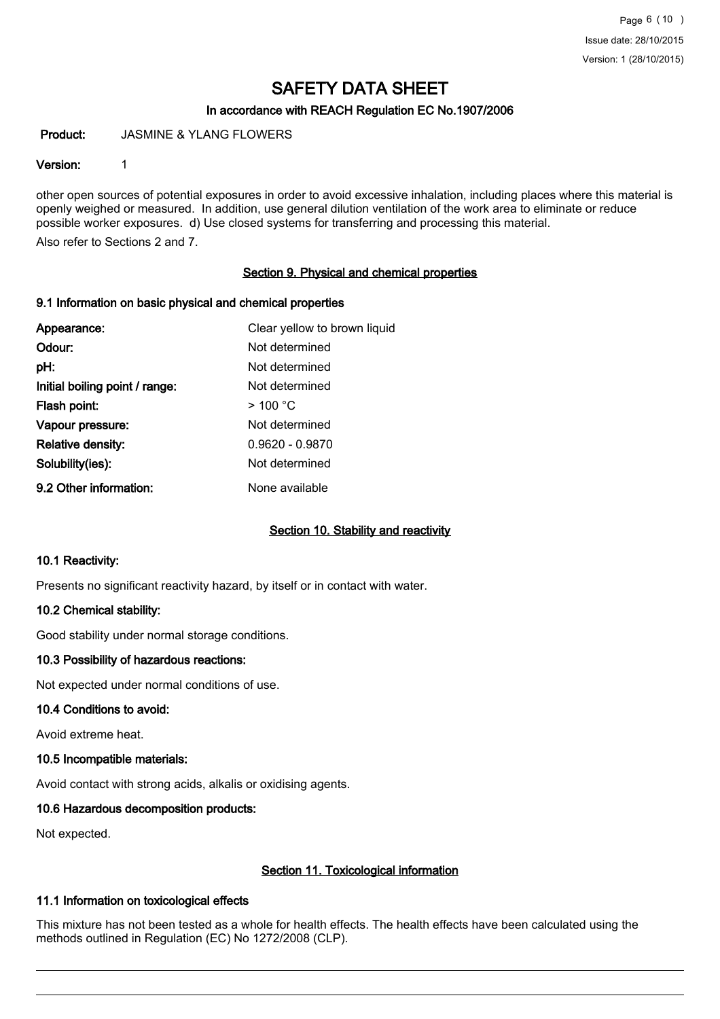#### In accordance with REACH Regulation EC No.1907/2006

Product: JASMINE & YLANG FLOWERS

#### Version: 1

other open sources of potential exposures in order to avoid excessive inhalation, including places where this material is openly weighed or measured. In addition, use general dilution ventilation of the work area to eliminate or reduce possible worker exposures. d) Use closed systems for transferring and processing this material.

Also refer to Sections 2 and 7.

#### Section 9. Physical and chemical properties

#### 9.1 Information on basic physical and chemical properties

| Appearance:                    | Clear yellow to brown liquid |
|--------------------------------|------------------------------|
| Odour:                         | Not determined               |
| pH:                            | Not determined               |
| Initial boiling point / range: | Not determined               |
| Flash point:                   | $>$ 100 °C                   |
| Vapour pressure:               | Not determined               |
| <b>Relative density:</b>       | $0.9620 - 0.9870$            |
| Solubility(ies):               | Not determined               |
| 9.2 Other information:         | None available               |

#### Section 10. Stability and reactivity

#### 10.1 Reactivity:

Presents no significant reactivity hazard, by itself or in contact with water.

#### 10.2 Chemical stability:

Good stability under normal storage conditions.

#### 10.3 Possibility of hazardous reactions:

Not expected under normal conditions of use.

#### 10.4 Conditions to avoid:

Avoid extreme heat.

#### 10.5 Incompatible materials:

Avoid contact with strong acids, alkalis or oxidising agents.

#### 10.6 Hazardous decomposition products:

Not expected.

#### Section 11. Toxicological information

#### 11.1 Information on toxicological effects

This mixture has not been tested as a whole for health effects. The health effects have been calculated using the methods outlined in Regulation (EC) No 1272/2008 (CLP).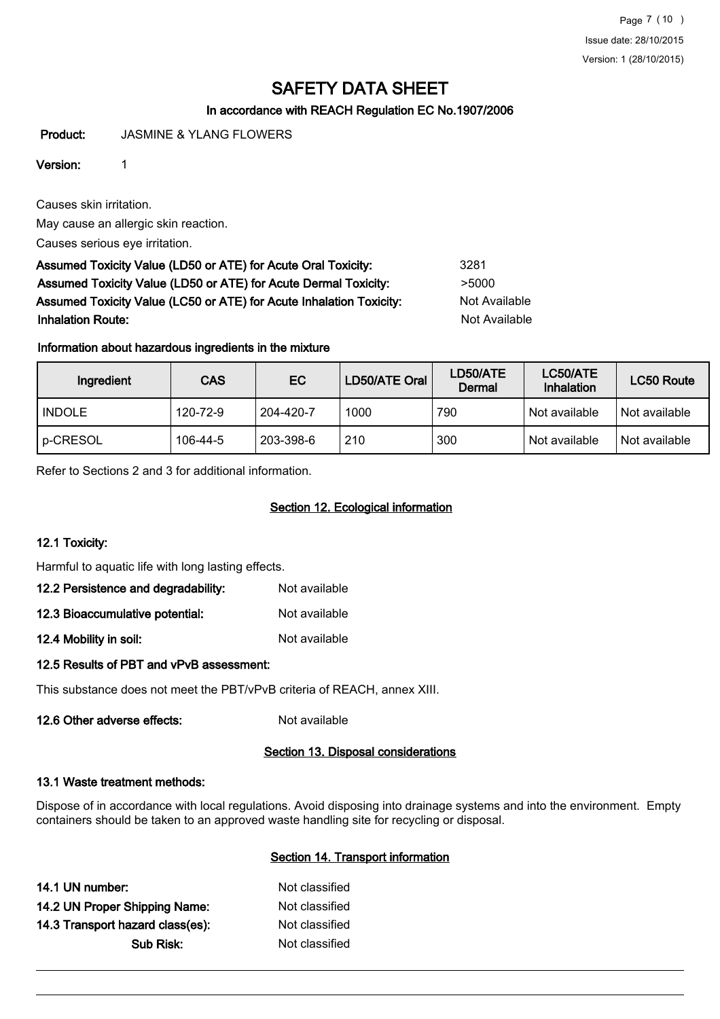Page 7 (10 ) Issue date: 28/10/2015 Version: 1 (28/10/2015)

## SAFETY DATA SHEET

### In accordance with REACH Regulation EC No.1907/2006

Product: JASMINE & YLANG FLOWERS

#### Version: 1

Causes skin irritation.

May cause an allergic skin reaction.

Causes serious eye irritation.

Assumed Toxicity Value (LD50 or ATE) for Acute Oral Toxicity: 3281 Assumed Toxicity Value (LD50 or ATE) for Acute Dermal Toxicity: >5000 Assumed Toxicity Value (LC50 or ATE) for Acute Inhalation Toxicity: Not Available **Inhalation Route:** Not Available in the United States of Available in the United States of Available in the United States of Available in the United States of Available in the United States of Available in the United Stat

### Information about hazardous ingredients in the mixture

| Ingredient    | <b>CAS</b> | <b>EC</b> | LD50/ATE Oral | LD50/ATE<br>Dermal | LC50/ATE<br>Inhalation | LC50 Route    |
|---------------|------------|-----------|---------------|--------------------|------------------------|---------------|
| <b>INDOLE</b> | 120-72-9   | 204-420-7 | 1000          | 790                | Not available          | Not available |
| p-CRESOL      | 106-44-5   | 203-398-6 | 210           | 300                | Not available          | Not available |

Refer to Sections 2 and 3 for additional information.

## Section 12. Ecological information

### 12.1 Toxicity:

Harmful to aquatic life with long lasting effects.

| Not available |
|---------------|
|               |

| 12.3 Bioaccumulative potential: | Not available |
|---------------------------------|---------------|
|---------------------------------|---------------|

12.4 Mobility in soil: Not available

#### 12.5 Results of PBT and vPvB assessment:

This substance does not meet the PBT/vPvB criteria of REACH, annex XIII.

12.6 Other adverse effects: Not available

#### Section 13. Disposal considerations

#### 13.1 Waste treatment methods:

Dispose of in accordance with local regulations. Avoid disposing into drainage systems and into the environment. Empty containers should be taken to an approved waste handling site for recycling or disposal.

#### Section 14. Transport information

| 14.1 UN number:                  | Not classified |
|----------------------------------|----------------|
| 14.2 UN Proper Shipping Name:    | Not classified |
| 14.3 Transport hazard class(es): | Not classified |
| Sub Risk:                        | Not classified |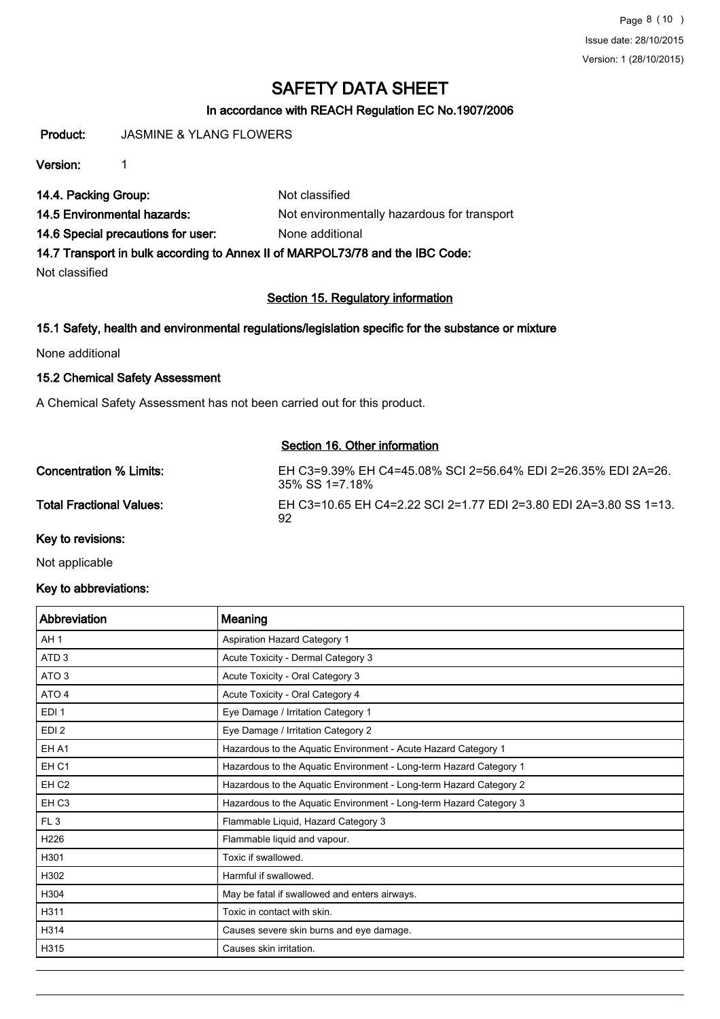Page 8 (10 ) Issue date: 28/10/2015 Version: 1 (28/10/2015)

## SAFETY DATA SHEET

### In accordance with REACH Regulation EC No.1907/2006

Product: JASMINE & YLANG FLOWERS

Version: 1

14.4. Packing Group: Not classified

14.5 Environmental hazards: Not environmentally hazardous for transport

14.6 Special precautions for user: None additional

14.7 Transport in bulk according to Annex II of MARPOL73/78 and the IBC Code:

Not classified

#### Section 15. Regulatory information

#### 15.1 Safety, health and environmental regulations/legislation specific for the substance or mixture

None additional

#### 15.2 Chemical Safety Assessment

A Chemical Safety Assessment has not been carried out for this product.

#### Section 16. Other information

| Concentration % Limits:  | EH C3=9.39% EH C4=45.08% SCI 2=56.64% EDI 2=26.35% EDI 2A=26.<br>$35\%$ SS 1=7.18% |
|--------------------------|------------------------------------------------------------------------------------|
| Total Fractional Values: | EH C3=10.65 EH C4=2.22 SCI 2=1.77 EDI 2=3.80 EDI 2A=3.80 SS 1=13.<br>92            |
| Key to revisions:        |                                                                                    |

Not applicable

#### Key to abbreviations:

| Abbreviation     | Meaning                                                            |
|------------------|--------------------------------------------------------------------|
| AH <sub>1</sub>  | Aspiration Hazard Category 1                                       |
| ATD <sub>3</sub> | Acute Toxicity - Dermal Category 3                                 |
| ATO <sub>3</sub> | Acute Toxicity - Oral Category 3                                   |
| ATO 4            | Acute Toxicity - Oral Category 4                                   |
| EDI <sub>1</sub> | Eye Damage / Irritation Category 1                                 |
| EDI <sub>2</sub> | Eye Damage / Irritation Category 2                                 |
| EH A1            | Hazardous to the Aquatic Environment - Acute Hazard Category 1     |
| EH <sub>C1</sub> | Hazardous to the Aquatic Environment - Long-term Hazard Category 1 |
| EH <sub>C2</sub> | Hazardous to the Aquatic Environment - Long-term Hazard Category 2 |
| EH <sub>C3</sub> | Hazardous to the Aquatic Environment - Long-term Hazard Category 3 |
| FL <sub>3</sub>  | Flammable Liquid, Hazard Category 3                                |
| H226             | Flammable liquid and vapour.                                       |
| H301             | Toxic if swallowed.                                                |
| H302             | Harmful if swallowed.                                              |
| H304             | May be fatal if swallowed and enters airways.                      |
| H311             | Toxic in contact with skin.                                        |
| H314             | Causes severe skin burns and eye damage.                           |
| H315             | Causes skin irritation.                                            |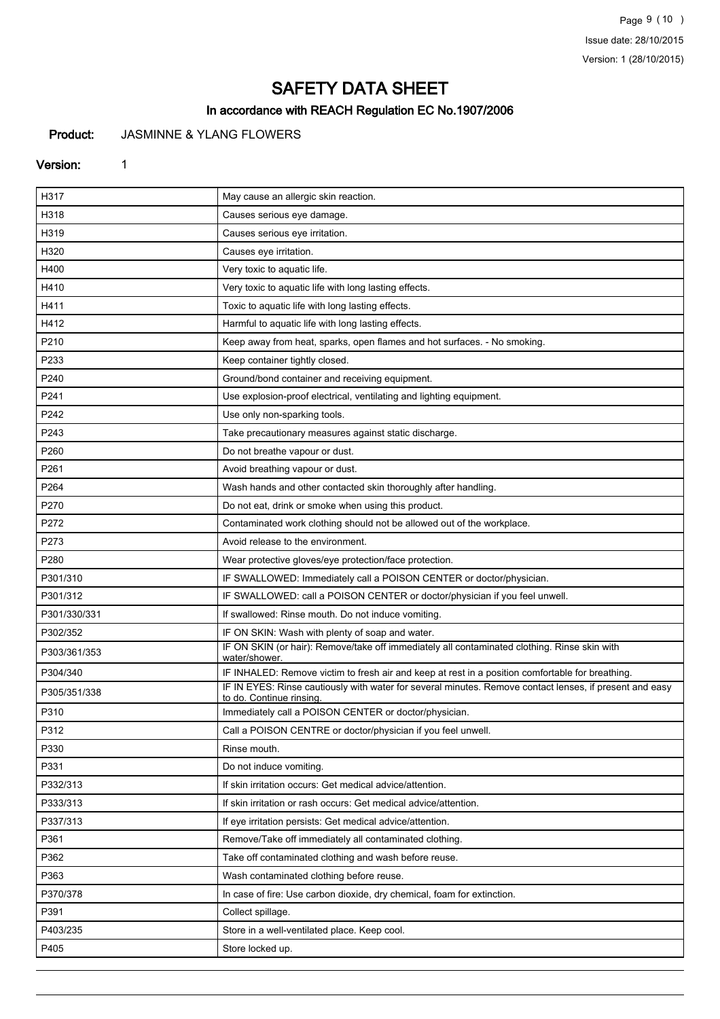Page 9 (10 ) Issue date: 28/10/2015 Version: 1 (28/10/2015)

# SAFETY DATA SHEET

## In accordance with REACH Regulation EC No.1907/2006

## Product: JASMINNE & YLANG FLOWERS

#### Version: 1

| H317         | May cause an allergic skin reaction.                                                                                                |
|--------------|-------------------------------------------------------------------------------------------------------------------------------------|
| H318         | Causes serious eye damage.                                                                                                          |
| H319         | Causes serious eye irritation.                                                                                                      |
| H320         | Causes eye irritation.                                                                                                              |
| H400         | Very toxic to aquatic life.                                                                                                         |
| H410         | Very toxic to aquatic life with long lasting effects.                                                                               |
| H411         | Toxic to aquatic life with long lasting effects.                                                                                    |
| H412         | Harmful to aquatic life with long lasting effects.                                                                                  |
| P210         | Keep away from heat, sparks, open flames and hot surfaces. - No smoking.                                                            |
| P233         | Keep container tightly closed.                                                                                                      |
| P240         | Ground/bond container and receiving equipment.                                                                                      |
| P241         | Use explosion-proof electrical, ventilating and lighting equipment.                                                                 |
| P242         | Use only non-sparking tools.                                                                                                        |
| P243         | Take precautionary measures against static discharge.                                                                               |
| P260         | Do not breathe vapour or dust.                                                                                                      |
| P261         | Avoid breathing vapour or dust.                                                                                                     |
| P264         | Wash hands and other contacted skin thoroughly after handling.                                                                      |
| P270         | Do not eat, drink or smoke when using this product.                                                                                 |
| P272         | Contaminated work clothing should not be allowed out of the workplace.                                                              |
| P273         | Avoid release to the environment.                                                                                                   |
| P280         | Wear protective gloves/eye protection/face protection.                                                                              |
| P301/310     | IF SWALLOWED: Immediately call a POISON CENTER or doctor/physician.                                                                 |
| P301/312     | IF SWALLOWED: call a POISON CENTER or doctor/physician if you feel unwell.                                                          |
| P301/330/331 | If swallowed: Rinse mouth. Do not induce vomiting.                                                                                  |
| P302/352     | IF ON SKIN: Wash with plenty of soap and water.                                                                                     |
| P303/361/353 | IF ON SKIN (or hair): Remove/take off immediately all contaminated clothing. Rinse skin with<br>water/shower.                       |
| P304/340     | IF INHALED: Remove victim to fresh air and keep at rest in a position comfortable for breathing.                                    |
| P305/351/338 | IF IN EYES: Rinse cautiously with water for several minutes. Remove contact lenses, if present and easy<br>to do. Continue rinsing. |
| P310         | Immediately call a POISON CENTER or doctor/physician.                                                                               |
| P312         | Call a POISON CENTRE or doctor/physician if you feel unwell.                                                                        |
| P330         | Rinse mouth.                                                                                                                        |
| P331         | Do not induce vomiting.                                                                                                             |
| P332/313     | If skin irritation occurs: Get medical advice/attention.                                                                            |
| P333/313     | If skin irritation or rash occurs: Get medical advice/attention.                                                                    |
| P337/313     | If eye irritation persists: Get medical advice/attention.                                                                           |
| P361         | Remove/Take off immediately all contaminated clothing.                                                                              |
| P362         | Take off contaminated clothing and wash before reuse.                                                                               |
| P363         | Wash contaminated clothing before reuse.                                                                                            |
| P370/378     | In case of fire: Use carbon dioxide, dry chemical, foam for extinction.                                                             |
| P391         | Collect spillage.                                                                                                                   |
| P403/235     | Store in a well-ventilated place. Keep cool.                                                                                        |
| P405         | Store locked up.                                                                                                                    |
|              |                                                                                                                                     |